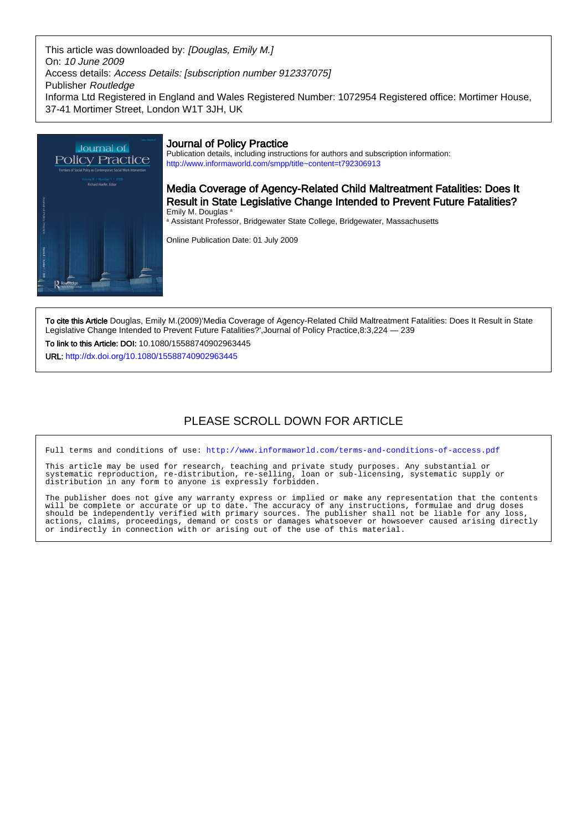This article was downloaded by: [Douglas, Emily M.] On: 10 June 2009 Access details: Access Details: [subscription number 912337075] Publisher Routledge Informa Ltd Registered in England and Wales Registered Number: 1072954 Registered office: Mortimer House, 37-41 Mortimer Street, London W1T 3JH, UK



To cite this Article Douglas, Emily M.(2009)'Media Coverage of Agency-Related Child Maltreatment Fatalities: Does It Result in State Legislative Change Intended to Prevent Future Fatalities?',Journal of Policy Practice,8:3,224 — 239

To link to this Article: DOI: 10.1080/15588740902963445

URL: <http://dx.doi.org/10.1080/15588740902963445>

## PLEASE SCROLL DOWN FOR ARTICLE

Full terms and conditions of use:<http://www.informaworld.com/terms-and-conditions-of-access.pdf>

This article may be used for research, teaching and private study purposes. Any substantial or systematic reproduction, re-distribution, re-selling, loan or sub-licensing, systematic supply or distribution in any form to anyone is expressly forbidden.

The publisher does not give any warranty express or implied or make any representation that the contents will be complete or accurate or up to date. The accuracy of any instructions, formulae and drug doses should be independently verified with primary sources. The publisher shall not be liable for any loss, actions, claims, proceedings, demand or costs or damages whatsoever or howsoever caused arising directly or indirectly in connection with or arising out of the use of this material.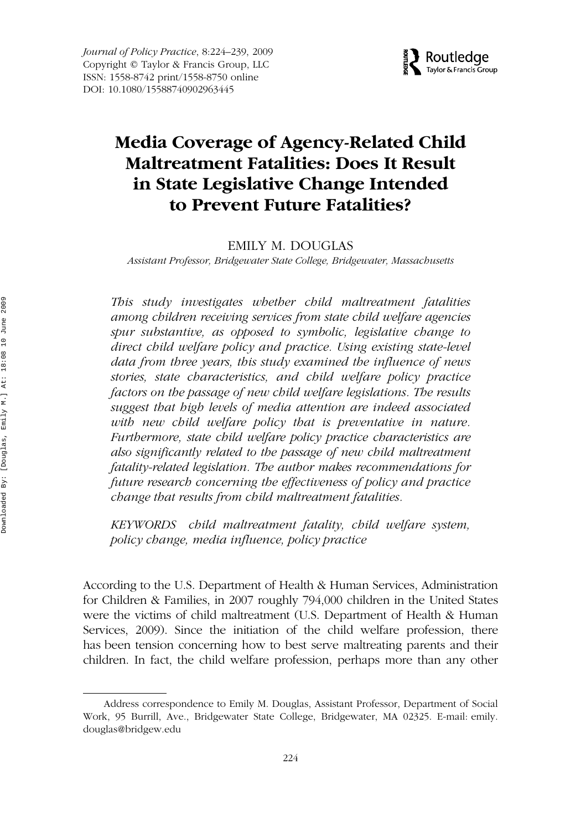*Journal of Policy Practice*, 8:224–239, 2009 Copyright © Taylor & Francis Group, LLC ISSN: 1558-8742 print/1558-8750 online DOI: 10.1080/15588740902963445



# **Media Coverage of Agency-Related Child Maltreatment Fatalities: Does It Result in State Legislative Change Intended to Prevent Future Fatalities?**

#### EMILY M. DOUGLAS

*Assistant Professor, Bridgewater State College, Bridgewater, Massachusetts*

*This study investigates whether child maltreatment fatalities among children receiving services from state child welfare agencies spur substantive, as opposed to symbolic, legislative change to direct child welfare policy and practice. Using existing state-level data from three years, this study examined the influence of news stories, state characteristics, and child welfare policy practice factors on the passage of new child welfare legislations. The results suggest that high levels of media attention are indeed associated with new child welfare policy that is preventative in nature. Furthermore, state child welfare policy practice characteristics are also significantly related to the passage of new child maltreatment fatality-related legislation. The author makes recommendations for future research concerning the effectiveness of policy and practice change that results from child maltreatment fatalities.*

*KEYWORDS child maltreatment fatality, child welfare system, policy change, media influence, policy practice*

According to the U.S. Department of Health & Human Services, Administration for Children & Families, in 2007 roughly 794,000 children in the United States were the victims of child maltreatment (U.S. Department of Health & Human Services, 2009). Since the initiation of the child welfare profession, there has been tension concerning how to best serve maltreating parents and their children. In fact, the child welfare profession, perhaps more than any other

Address correspondence to Emily M. Douglas, Assistant Professor, Department of Social Work, 95 Burrill, Ave., Bridgewater State College, Bridgewater, MA 02325. E-mail: emily. douglas@bridgew.edu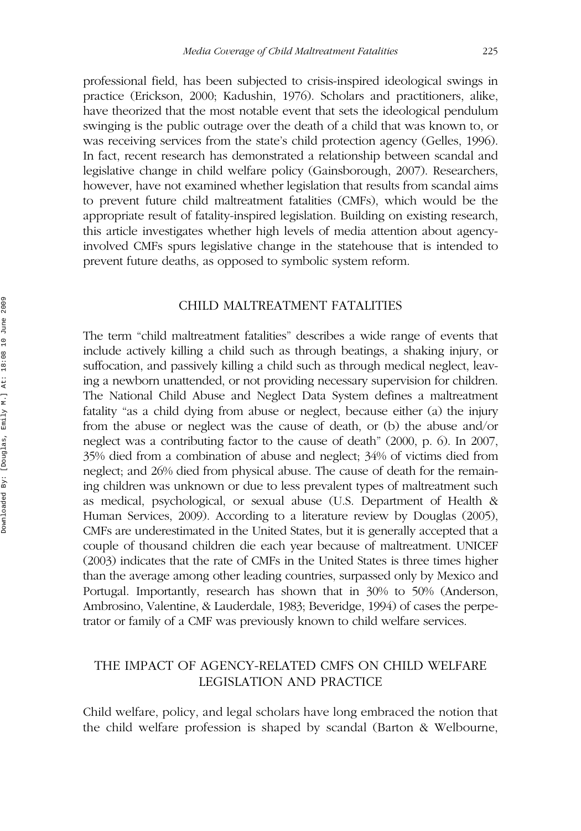professional field, has been subjected to crisis-inspired ideological swings in practice (Erickson, 2000; Kadushin, 1976). Scholars and practitioners, alike, have theorized that the most notable event that sets the ideological pendulum swinging is the public outrage over the death of a child that was known to, or was receiving services from the state's child protection agency (Gelles, 1996). In fact, recent research has demonstrated a relationship between scandal and legislative change in child welfare policy (Gainsborough, 2007). Researchers, however, have not examined whether legislation that results from scandal aims to prevent future child maltreatment fatalities (CMFs), which would be the appropriate result of fatality-inspired legislation. Building on existing research, this article investigates whether high levels of media attention about agencyinvolved CMFs spurs legislative change in the statehouse that is intended to prevent future deaths, as opposed to symbolic system reform.

#### CHILD MALTREATMENT FATALITIES

The term "child maltreatment fatalities" describes a wide range of events that include actively killing a child such as through beatings, a shaking injury, or suffocation, and passively killing a child such as through medical neglect, leaving a newborn unattended, or not providing necessary supervision for children. The National Child Abuse and Neglect Data System defines a maltreatment fatality "as a child dying from abuse or neglect, because either (a) the injury from the abuse or neglect was the cause of death, or (b) the abuse and/or neglect was a contributing factor to the cause of death" (2000, p. 6). In 2007, 35% died from a combination of abuse and neglect; 34% of victims died from neglect; and 26% died from physical abuse. The cause of death for the remaining children was unknown or due to less prevalent types of maltreatment such as medical, psychological, or sexual abuse (U.S. Department of Health & Human Services, 2009). According to a literature review by Douglas (2005), CMFs are underestimated in the United States, but it is generally accepted that a couple of thousand children die each year because of maltreatment. UNICEF (2003) indicates that the rate of CMFs in the United States is three times higher than the average among other leading countries, surpassed only by Mexico and Portugal. Importantly, research has shown that in 30% to 50% (Anderson, Ambrosino, Valentine, & Lauderdale, 1983; Beveridge, 1994) of cases the perpetrator or family of a CMF was previously known to child welfare services.

## THE IMPACT OF AGENCY-RELATED CMFS ON CHILD WELFARE LEGISLATION AND PRACTICE

Child welfare, policy, and legal scholars have long embraced the notion that the child welfare profession is shaped by scandal (Barton & Welbourne,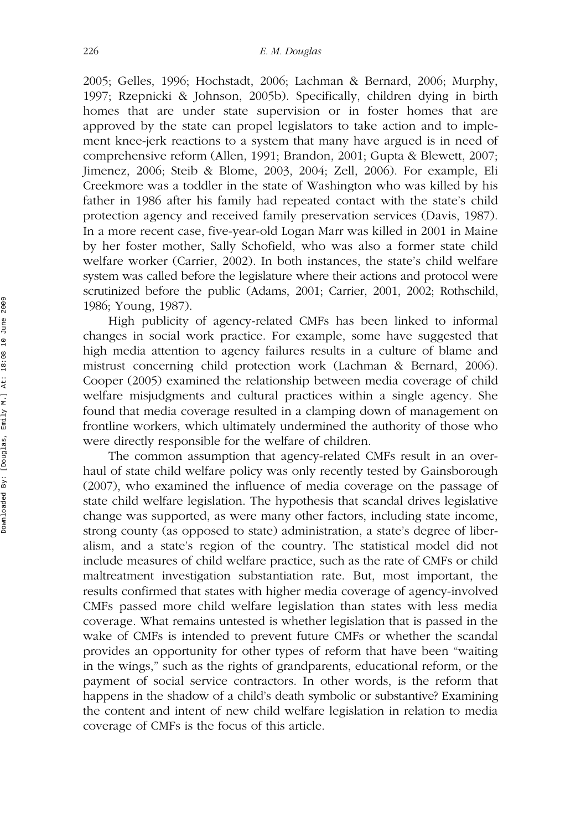2005; Gelles, 1996; Hochstadt, 2006; Lachman & Bernard, 2006; Murphy, 1997; Rzepnicki & Johnson, 2005b). Specifically, children dying in birth homes that are under state supervision or in foster homes that are approved by the state can propel legislators to take action and to implement knee-jerk reactions to a system that many have argued is in need of comprehensive reform (Allen, 1991; Brandon, 2001; Gupta & Blewett, 2007; Jimenez, 2006; Steib & Blome, 2003, 2004; Zell, 2006). For example, Eli Creekmore was a toddler in the state of Washington who was killed by his father in 1986 after his family had repeated contact with the state's child protection agency and received family preservation services (Davis, 1987). In a more recent case, five-year-old Logan Marr was killed in 2001 in Maine by her foster mother, Sally Schofield, who was also a former state child welfare worker (Carrier, 2002). In both instances, the state's child welfare system was called before the legislature where their actions and protocol were scrutinized before the public (Adams, 2001; Carrier, 2001, 2002; Rothschild, 1986; Young, 1987).

High publicity of agency-related CMFs has been linked to informal changes in social work practice. For example, some have suggested that high media attention to agency failures results in a culture of blame and mistrust concerning child protection work (Lachman & Bernard, 2006). Cooper (2005) examined the relationship between media coverage of child welfare misjudgments and cultural practices within a single agency. She found that media coverage resulted in a clamping down of management on frontline workers, which ultimately undermined the authority of those who were directly responsible for the welfare of children.

The common assumption that agency-related CMFs result in an overhaul of state child welfare policy was only recently tested by Gainsborough (2007), who examined the influence of media coverage on the passage of state child welfare legislation. The hypothesis that scandal drives legislative change was supported, as were many other factors, including state income, strong county (as opposed to state) administration, a state's degree of liberalism, and a state's region of the country. The statistical model did not include measures of child welfare practice, such as the rate of CMFs or child maltreatment investigation substantiation rate. But, most important, the results confirmed that states with higher media coverage of agency-involved CMFs passed more child welfare legislation than states with less media coverage. What remains untested is whether legislation that is passed in the wake of CMFs is intended to prevent future CMFs or whether the scandal provides an opportunity for other types of reform that have been "waiting in the wings," such as the rights of grandparents, educational reform, or the payment of social service contractors. In other words, is the reform that happens in the shadow of a child's death symbolic or substantive? Examining the content and intent of new child welfare legislation in relation to media coverage of CMFs is the focus of this article.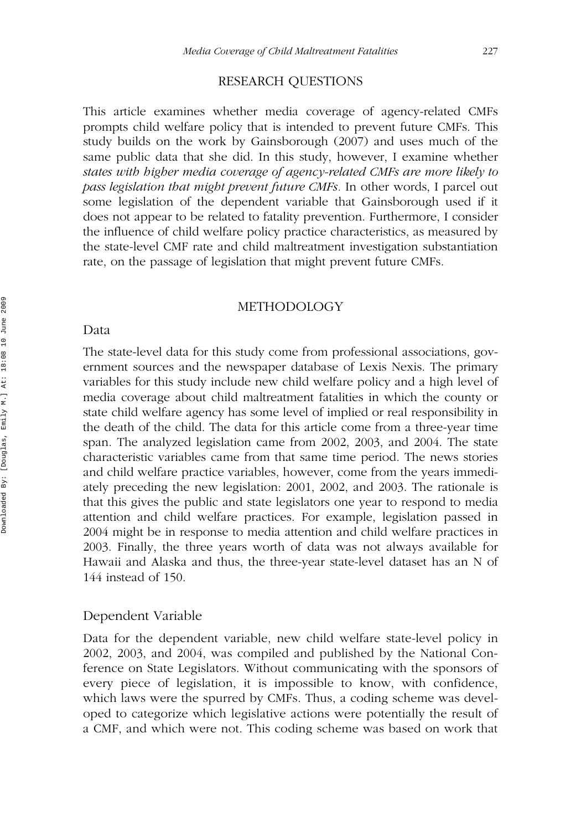### RESEARCH QUESTIONS

This article examines whether media coverage of agency-related CMFs prompts child welfare policy that is intended to prevent future CMFs. This study builds on the work by Gainsborough (2007) and uses much of the same public data that she did. In this study, however, I examine whether *states with higher media coverage of agency-related CMFs are more likely to pass legislation that might prevent future CMFs.* In other words, I parcel out some legislation of the dependent variable that Gainsborough used if it does not appear to be related to fatality prevention. Furthermore, I consider the influence of child welfare policy practice characteristics, as measured by the state-level CMF rate and child maltreatment investigation substantiation rate, on the passage of legislation that might prevent future CMFs.

#### METHODOLOGY

#### Data

The state-level data for this study come from professional associations, government sources and the newspaper database of Lexis Nexis. The primary variables for this study include new child welfare policy and a high level of media coverage about child maltreatment fatalities in which the county or state child welfare agency has some level of implied or real responsibility in the death of the child. The data for this article come from a three-year time span. The analyzed legislation came from 2002, 2003, and 2004. The state characteristic variables came from that same time period. The news stories and child welfare practice variables, however, come from the years immediately preceding the new legislation: 2001, 2002, and 2003. The rationale is that this gives the public and state legislators one year to respond to media attention and child welfare practices. For example, legislation passed in 2004 might be in response to media attention and child welfare practices in 2003. Finally, the three years worth of data was not always available for Hawaii and Alaska and thus, the three-year state-level dataset has an N of 144 instead of 150.

#### Dependent Variable

Data for the dependent variable, new child welfare state-level policy in 2002, 2003, and 2004, was compiled and published by the National Conference on State Legislators. Without communicating with the sponsors of every piece of legislation, it is impossible to know, with confidence, which laws were the spurred by CMFs. Thus, a coding scheme was developed to categorize which legislative actions were potentially the result of a CMF, and which were not. This coding scheme was based on work that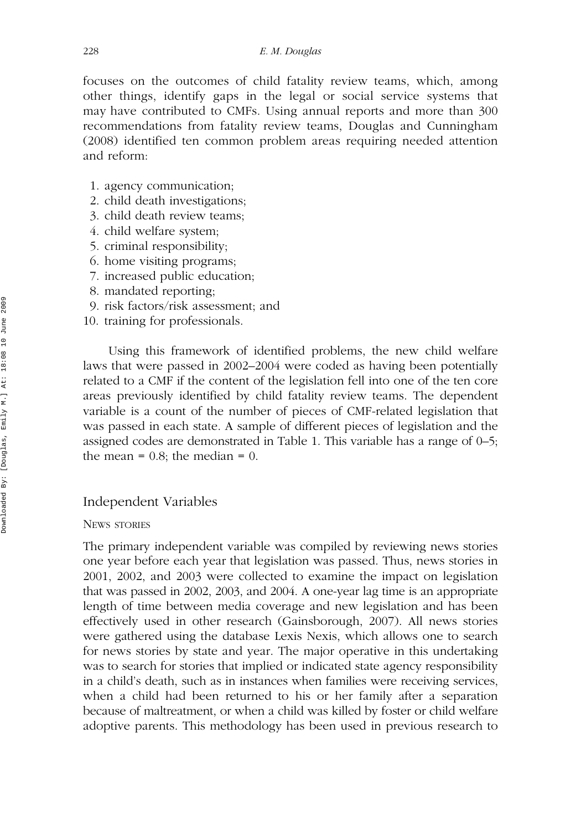focuses on the outcomes of child fatality review teams, which, among other things, identify gaps in the legal or social service systems that may have contributed to CMFs. Using annual reports and more than 300 recommendations from fatality review teams, Douglas and Cunningham (2008) identified ten common problem areas requiring needed attention and reform:

- 1. agency communication;
- 2. child death investigations;
- 3. child death review teams;
- 4. child welfare system;
- 5. criminal responsibility;
- 6. home visiting programs;
- 7. increased public education;
- 8. mandated reporting;
- 9. risk factors/risk assessment; and
- 10. training for professionals.

Using this framework of identified problems, the new child welfare laws that were passed in 2002–2004 were coded as having been potentially related to a CMF if the content of the legislation fell into one of the ten core areas previously identified by child fatality review teams. The dependent variable is a count of the number of pieces of CMF-related legislation that was passed in each state. A sample of different pieces of legislation and the assigned codes are demonstrated in Table 1. This variable has a range of 0–5; the mean  $= 0.8$ ; the median  $= 0$ .

#### Independent Variables

#### NEWS STORIES

The primary independent variable was compiled by reviewing news stories one year before each year that legislation was passed. Thus, news stories in 2001, 2002, and 2003 were collected to examine the impact on legislation that was passed in 2002, 2003, and 2004. A one-year lag time is an appropriate length of time between media coverage and new legislation and has been effectively used in other research (Gainsborough, 2007). All news stories were gathered using the database Lexis Nexis, which allows one to search for news stories by state and year. The major operative in this undertaking was to search for stories that implied or indicated state agency responsibility in a child's death, such as in instances when families were receiving services, when a child had been returned to his or her family after a separation because of maltreatment, or when a child was killed by foster or child welfare adoptive parents. This methodology has been used in previous research to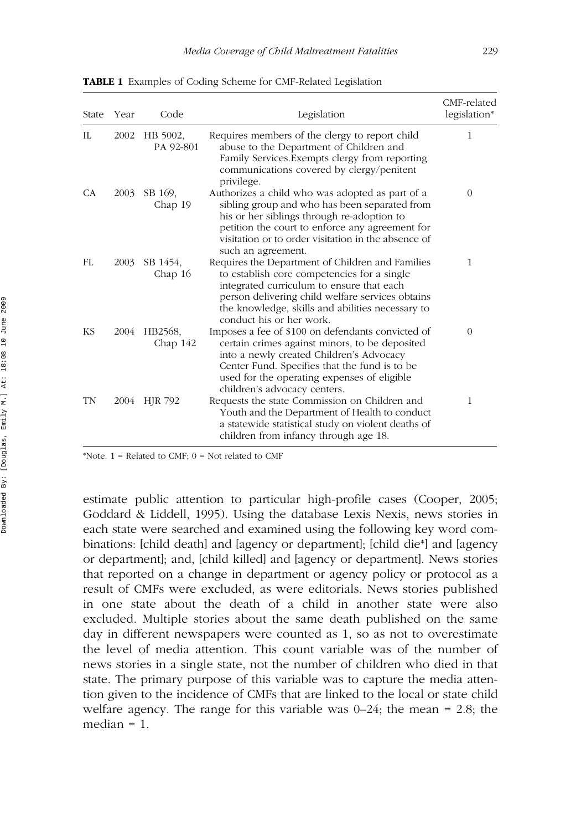| State | Year | Code                  | Legislation                                                                                                                                                                                                                                                                      | CMF-related<br>legislation* |
|-------|------|-----------------------|----------------------------------------------------------------------------------------------------------------------------------------------------------------------------------------------------------------------------------------------------------------------------------|-----------------------------|
| H.    | 2002 | HB 5002,<br>PA 92-801 | Requires members of the clergy to report child<br>abuse to the Department of Children and<br>Family Services. Exempts clergy from reporting<br>communications covered by clergy/penitent<br>privilege.                                                                           | 1                           |
| CA    | 2003 | SB 169.<br>Chap 19    | Authorizes a child who was adopted as part of a<br>sibling group and who has been separated from<br>his or her siblings through re-adoption to<br>petition the court to enforce any agreement for<br>visitation or to order visitation in the absence of<br>such an agreement.   | $\overline{0}$              |
| FL.   | 2003 | SB 1454,<br>Chap $16$ | Requires the Department of Children and Families<br>to establish core competencies for a single<br>integrated curriculum to ensure that each<br>person delivering child welfare services obtains<br>the knowledge, skills and abilities necessary to<br>conduct his or her work. | 1                           |
| ΚS    | 2004 | HB2568,<br>Chap $142$ | Imposes a fee of \$100 on defendants convicted of<br>certain crimes against minors, to be deposited<br>into a newly created Children's Advocacy<br>Center Fund. Specifies that the fund is to be<br>used for the operating expenses of eligible<br>children's advocacy centers.  | $\theta$                    |
| TN    | 2004 | HJR 792               | Requests the state Commission on Children and<br>Youth and the Department of Health to conduct<br>a statewide statistical study on violent deaths of<br>children from infancy through age 18.                                                                                    | 1                           |

**TABLE 1** Examples of Coding Scheme for CMF-Related Legislation

\*Note.  $1$  = Related to CMF;  $0$  = Not related to CMF

estimate public attention to particular high-profile cases (Cooper, 2005; Goddard & Liddell, 1995). Using the database Lexis Nexis, news stories in each state were searched and examined using the following key word combinations: [child death] and [agency or department]; [child die\*] and [agency or department]; and, [child killed] and [agency or department]. News stories that reported on a change in department or agency policy or protocol as a result of CMFs were excluded, as were editorials. News stories published in one state about the death of a child in another state were also excluded. Multiple stories about the same death published on the same day in different newspapers were counted as 1, so as not to overestimate the level of media attention. This count variable was of the number of news stories in a single state, not the number of children who died in that state. The primary purpose of this variable was to capture the media attention given to the incidence of CMFs that are linked to the local or state child welfare agency. The range for this variable was  $0-24$ ; the mean = 2.8; the median = 1.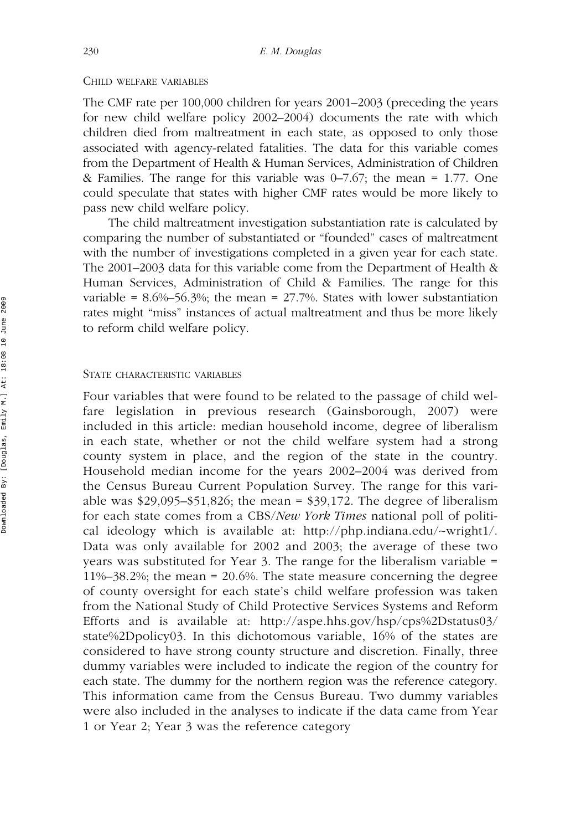#### CHILD WELFARE VARIABLES

The CMF rate per 100,000 children for years 2001–2003 (preceding the years for new child welfare policy 2002–2004) documents the rate with which children died from maltreatment in each state, as opposed to only those associated with agency-related fatalities. The data for this variable comes from the Department of Health & Human Services, Administration of Children & Families. The range for this variable was  $0-7.67$ ; the mean = 1.77. One could speculate that states with higher CMF rates would be more likely to pass new child welfare policy.

The child maltreatment investigation substantiation rate is calculated by comparing the number of substantiated or "founded" cases of maltreatment with the number of investigations completed in a given year for each state. The 2001–2003 data for this variable come from the Department of Health & Human Services, Administration of Child & Families. The range for this variable =  $8.6\% - 56.3\%$ ; the mean =  $27.7\%$ . States with lower substantiation rates might "miss" instances of actual maltreatment and thus be more likely to reform child welfare policy.

#### STATE CHARACTERISTIC VARIABLES

Four variables that were found to be related to the passage of child welfare legislation in previous research (Gainsborough, 2007) were included in this article: median household income, degree of liberalism in each state, whether or not the child welfare system had a strong county system in place, and the region of the state in the country. Household median income for the years 2002–2004 was derived from the Census Bureau Current Population Survey. The range for this variable was  $$29,095 - $51,826$ ; the mean =  $$39,172$ . The degree of liberalism for each state comes from a CBS/*New York Times* national poll of political ideology which is available at: http://php.indiana.edu/∼wright1/. Data was only available for 2002 and 2003; the average of these two years was substituted for Year 3. The range for the liberalism variable = 11%–38.2%; the mean = 20.6%. The state measure concerning the degree of county oversight for each state's child welfare profession was taken from the National Study of Child Protective Services Systems and Reform Efforts and is available at: http://aspe.hhs.gov/hsp/cps%2Dstatus03/ state%2Dpolicy03. In this dichotomous variable, 16% of the states are considered to have strong county structure and discretion. Finally, three dummy variables were included to indicate the region of the country for each state. The dummy for the northern region was the reference category. This information came from the Census Bureau. Two dummy variables were also included in the analyses to indicate if the data came from Year 1 or Year 2; Year 3 was the reference category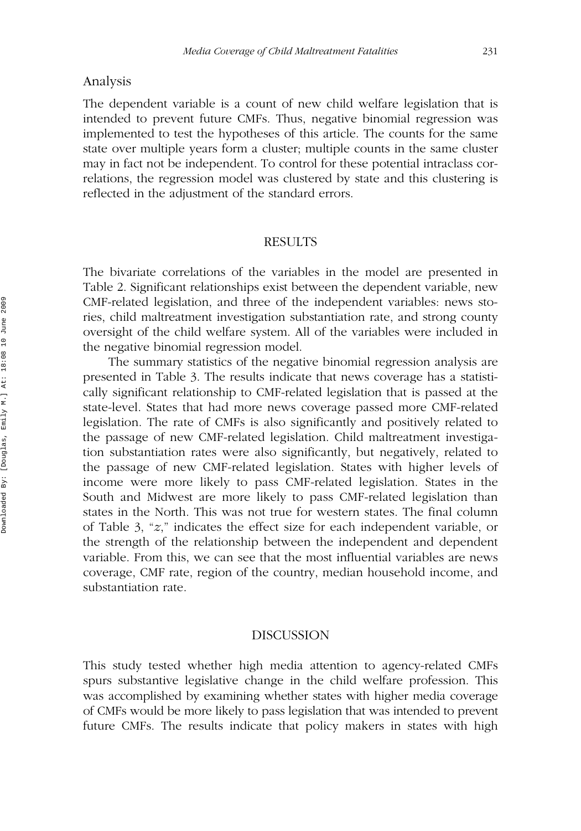#### Analysis

The dependent variable is a count of new child welfare legislation that is intended to prevent future CMFs. Thus, negative binomial regression was implemented to test the hypotheses of this article. The counts for the same state over multiple years form a cluster; multiple counts in the same cluster may in fact not be independent. To control for these potential intraclass correlations, the regression model was clustered by state and this clustering is reflected in the adjustment of the standard errors.

#### **RESULTS**

The bivariate correlations of the variables in the model are presented in Table 2. Significant relationships exist between the dependent variable, new CMF-related legislation, and three of the independent variables: news stories, child maltreatment investigation substantiation rate, and strong county oversight of the child welfare system. All of the variables were included in the negative binomial regression model.

The summary statistics of the negative binomial regression analysis are presented in Table 3. The results indicate that news coverage has a statistically significant relationship to CMF-related legislation that is passed at the state-level. States that had more news coverage passed more CMF-related legislation. The rate of CMFs is also significantly and positively related to the passage of new CMF-related legislation. Child maltreatment investigation substantiation rates were also significantly, but negatively, related to the passage of new CMF-related legislation. States with higher levels of income were more likely to pass CMF-related legislation. States in the South and Midwest are more likely to pass CMF-related legislation than states in the North. This was not true for western states. The final column of Table 3, "*z*," indicates the effect size for each independent variable, or the strength of the relationship between the independent and dependent variable. From this, we can see that the most influential variables are news coverage, CMF rate, region of the country, median household income, and substantiation rate.

#### DISCUSSION

This study tested whether high media attention to agency-related CMFs spurs substantive legislative change in the child welfare profession. This was accomplished by examining whether states with higher media coverage of CMFs would be more likely to pass legislation that was intended to prevent future CMFs. The results indicate that policy makers in states with high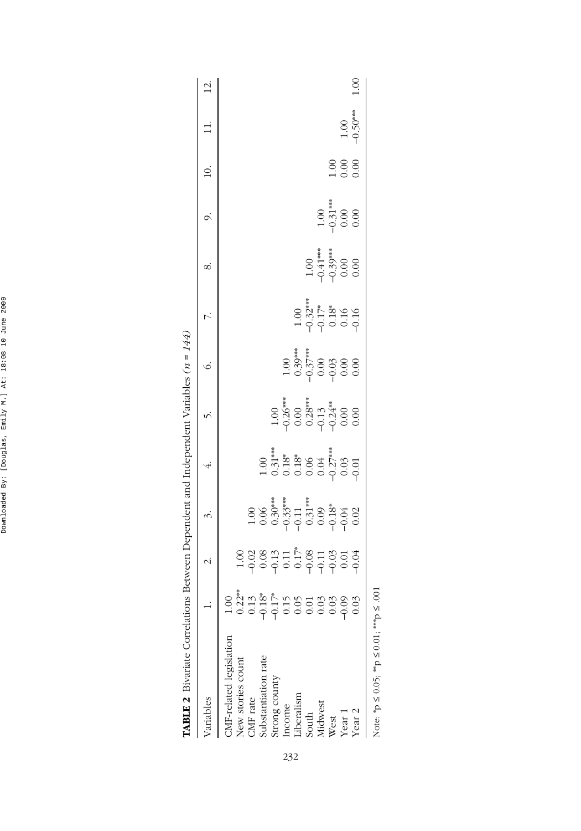| anables                                                               |                                                                                                                                                                                                                                                                                                                      | $\overline{\mathcal{N}}$       | 3.                                                                                                                                                                                                                                                                                                                                             | 4.                                                                                                                                                                                                                                                                                                     |                                                                                     | s.                                                                | <sup>V</sup>                                             | ∞ं                                               |                                                              |            |                      |  |
|-----------------------------------------------------------------------|----------------------------------------------------------------------------------------------------------------------------------------------------------------------------------------------------------------------------------------------------------------------------------------------------------------------|--------------------------------|------------------------------------------------------------------------------------------------------------------------------------------------------------------------------------------------------------------------------------------------------------------------------------------------------------------------------------------------|--------------------------------------------------------------------------------------------------------------------------------------------------------------------------------------------------------------------------------------------------------------------------------------------------------|-------------------------------------------------------------------------------------|-------------------------------------------------------------------|----------------------------------------------------------|--------------------------------------------------|--------------------------------------------------------------|------------|----------------------|--|
| MF-related legislation                                                | $1.00$                                                                                                                                                                                                                                                                                                               |                                |                                                                                                                                                                                                                                                                                                                                                |                                                                                                                                                                                                                                                                                                        |                                                                                     |                                                                   |                                                          |                                                  |                                                              |            |                      |  |
| New stories count                                                     |                                                                                                                                                                                                                                                                                                                      |                                |                                                                                                                                                                                                                                                                                                                                                |                                                                                                                                                                                                                                                                                                        |                                                                                     |                                                                   |                                                          |                                                  |                                                              |            |                      |  |
| MF rate                                                               | ***<br>0.13<br>0.18                                                                                                                                                                                                                                                                                                  | 888311.281818<br>898311.381818 |                                                                                                                                                                                                                                                                                                                                                |                                                                                                                                                                                                                                                                                                        |                                                                                     |                                                                   |                                                          |                                                  |                                                              |            |                      |  |
| substantiation rate                                                   |                                                                                                                                                                                                                                                                                                                      |                                |                                                                                                                                                                                                                                                                                                                                                |                                                                                                                                                                                                                                                                                                        |                                                                                     |                                                                   |                                                          |                                                  |                                                              |            |                      |  |
| Strong county                                                         | $\ddot{C}$<br>$\ddot{C}$<br>$\ddot{C}$<br>$\ddot{C}$<br>$\ddot{C}$<br>$\ddot{C}$<br>$\ddot{C}$<br>$\ddot{C}$<br>$\ddot{C}$<br>$\ddot{C}$<br>$\ddot{C}$<br>$\ddot{C}$<br>$\ddot{C}$<br>$\ddot{C}$<br>$\ddot{C}$<br>$\ddot{C}$<br>$\ddot{C}$<br>$\ddot{C}$<br>$\ddot{C}$<br>$\ddot{C}$<br>$\ddot{C}$<br>$\ddot{C}$<br> |                                | $\begin{array}{l} 1.00 \\ 0.06 \\ 0.33 \\ -0.05 \\ -0.05 \\ -0.05 \\ -0.05 \\ -0.05 \\ -0.05 \\ -0.05 \\ -0.05 \\ -0.05 \\ -0.05 \\ -0.05 \\ -0.05 \\ -0.05 \\ -0.05 \\ -0.05 \\ -0.05 \\ -0.05 \\ -0.05 \\ -0.05 \\ -0.05 \\ -0.05 \\ -0.05 \\ -0.05 \\ -0.05 \\ -0.05 \\ -0.05 \\ -0.05 \\ -0.05 \\ -0.05 \\ -0.05 \\ -0.05 \\ -0.05 \\ -0.$ | $\begin{array}{c} 1.00 \\ 0.31** \\ 0.18** \\ 0.16* \\ 0.06* \\ 0.07** \\ 0.03* \\ 0.03* \\ 0.01* \\ 0.01* \\ 0.01* \\ 0.01* \\ 0.01* \\ 0.01* \\ 0.01* \\ 0.01* \\ 0.01* \\ 0.01* \\ 0.01* \\ 0.01* \\ 0.01* \\ 0.01* \\ 0.01* \\ 0.01* \\ 0.01* \\ 0.01* \\ 0.01* \\ 0.01* \\ 0.01* \\ 0.01* \\ 0.0$ |                                                                                     |                                                                   |                                                          |                                                  |                                                              |            |                      |  |
| Income                                                                |                                                                                                                                                                                                                                                                                                                      |                                |                                                                                                                                                                                                                                                                                                                                                |                                                                                                                                                                                                                                                                                                        |                                                                                     |                                                                   |                                                          |                                                  |                                                              |            |                      |  |
| iberalism                                                             |                                                                                                                                                                                                                                                                                                                      |                                |                                                                                                                                                                                                                                                                                                                                                |                                                                                                                                                                                                                                                                                                        |                                                                                     |                                                                   |                                                          |                                                  |                                                              |            |                      |  |
| South                                                                 |                                                                                                                                                                                                                                                                                                                      |                                |                                                                                                                                                                                                                                                                                                                                                |                                                                                                                                                                                                                                                                                                        |                                                                                     |                                                                   |                                                          |                                                  |                                                              |            |                      |  |
| Midwest                                                               |                                                                                                                                                                                                                                                                                                                      |                                |                                                                                                                                                                                                                                                                                                                                                |                                                                                                                                                                                                                                                                                                        |                                                                                     |                                                                   |                                                          |                                                  |                                                              |            |                      |  |
| West                                                                  |                                                                                                                                                                                                                                                                                                                      |                                |                                                                                                                                                                                                                                                                                                                                                |                                                                                                                                                                                                                                                                                                        | $1.00$<br>$0.26$ ***<br>$0.00$<br>$0.28$ **<br>$0.13$<br>$0.00$<br>$0.00$<br>$0.00$ | $1.00$<br>$0.39***$<br>$0.37***$<br>$0.000$<br>$0.000$<br>$0.000$ | $1.00$<br>$-3.32$ ***<br>$-0.17$ *<br>$-0.16$<br>$-0.16$ | $1.00$<br>$-1.3$<br>$-1.3$<br>$-0.00$<br>$-0.00$ | $\begin{array}{c} 1.00 \\ -0.31 \end{array}$<br>0.00<br>0.00 |            |                      |  |
| Year <sub>1</sub>                                                     |                                                                                                                                                                                                                                                                                                                      |                                |                                                                                                                                                                                                                                                                                                                                                |                                                                                                                                                                                                                                                                                                        |                                                                                     |                                                                   |                                                          |                                                  |                                                              | 888<br>100 |                      |  |
| Year <sub>2</sub>                                                     | 0.03                                                                                                                                                                                                                                                                                                                 |                                |                                                                                                                                                                                                                                                                                                                                                |                                                                                                                                                                                                                                                                                                        |                                                                                     |                                                                   |                                                          |                                                  |                                                              |            | $1.00$<br>$-0.50***$ |  |
| Note: ${}^*p \leq 0.05$ ; ${}^{**}p \leq 0.01$ ; ${}^{***}p \leq .00$ |                                                                                                                                                                                                                                                                                                                      |                                |                                                                                                                                                                                                                                                                                                                                                |                                                                                                                                                                                                                                                                                                        |                                                                                     |                                                                   |                                                          |                                                  |                                                              |            |                      |  |

| l<br>l                                                                                                                                                                                                                              |
|-------------------------------------------------------------------------------------------------------------------------------------------------------------------------------------------------------------------------------------|
| ׅ֘֒<br>$\frac{1}{\pi}$                                                                                                                                                                                                              |
|                                                                                                                                                                                                                                     |
| i<br>i                                                                                                                                                                                                                              |
|                                                                                                                                                                                                                                     |
| is the contract of the contract of the contract of the contract of the contract of the contract of the contract of the contract of the contract of the contract of the contract of the contract of the contract of the contrac<br>Ì |
|                                                                                                                                                                                                                                     |
| $\ddot{a}$<br>$\ddot{\phantom{a}}$                                                                                                                                                                                                  |
| ֖֖֖֧ׅ֧֪֪֚֚֚֚֚֚֚֚֚֚֚֚֚֚֚֚֚֚֚֚֚֚֚֚֡֝֬֓֡֬֝֝֬֝֓֬֝֬֝֓֝֬֝֬֝֬֝֬֝֬֝֬                                                                                                                                                                        |
| Ī                                                                                                                                                                                                                                   |
|                                                                                                                                                                                                                                     |
| Í                                                                                                                                                                                                                                   |
| l                                                                                                                                                                                                                                   |
| <br> <br> <br> <br>ׇ֚֬֓֕֓֡֡֡<br>֕<br>l                                                                                                                                                                                              |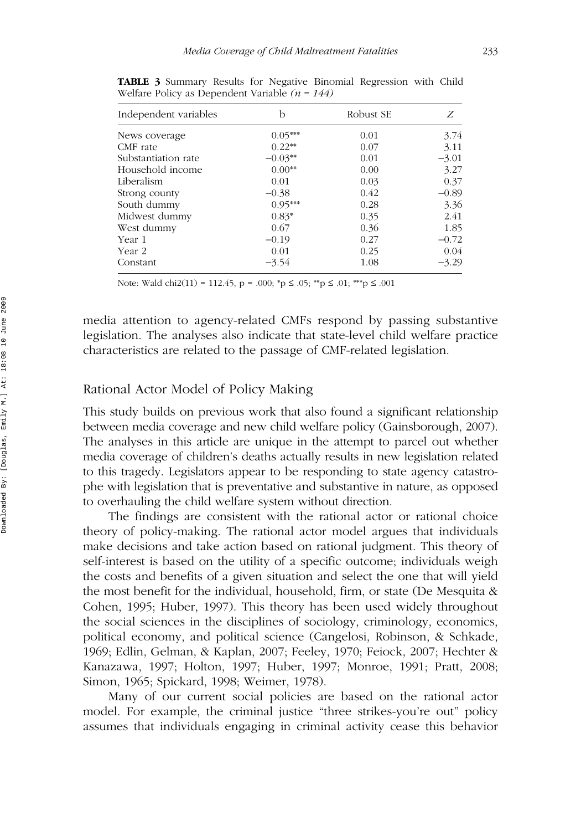| Independent variables | b         | Robust SE | Z       |
|-----------------------|-----------|-----------|---------|
| News coverage.        | $0.05***$ | 0.01      | 3.74    |
| CMF rate              | $0.22**$  | 0.07      | 3.11    |
| Substantiation rate   | $-0.03**$ | 0.01      | $-3.01$ |
| Household income      | $0.00**$  | 0.00      | 3.27    |
| Liberalism            | 0.01      | 0.03      | 0.37    |
| Strong county         | $-0.38$   | 0.42      | $-0.89$ |
| South dummy           | $0.95***$ | 0.28      | 3.36    |
| Midwest dummy         | $0.83*$   | 0.35      | 2.41    |
| West dummy            | 0.67      | 0.36      | 1.85    |
| Year 1                | $-0.19$   | 0.27      | $-0.72$ |
| Year 2                | 0.01      | 0.25      | 0.04    |
| Constant              | $-3.54$   | 1.08      | $-3.29$ |

**TABLE 3** Summary Results for Negative Binomial Regression with Child Welfare Policy as Dependent Variable *(n = 144)*

Note: Wald chi2(11) = 112.45, p = .000; \*p ≤ .05; \*\*p ≤ .01; \*\*\*p ≤ .001

media attention to agency-related CMFs respond by passing substantive legislation. The analyses also indicate that state-level child welfare practice characteristics are related to the passage of CMF-related legislation.

## Rational Actor Model of Policy Making

This study builds on previous work that also found a significant relationship between media coverage and new child welfare policy (Gainsborough, 2007). The analyses in this article are unique in the attempt to parcel out whether media coverage of children's deaths actually results in new legislation related to this tragedy. Legislators appear to be responding to state agency catastrophe with legislation that is preventative and substantive in nature, as opposed to overhauling the child welfare system without direction.

The findings are consistent with the rational actor or rational choice theory of policy-making. The rational actor model argues that individuals make decisions and take action based on rational judgment. This theory of self-interest is based on the utility of a specific outcome; individuals weigh the costs and benefits of a given situation and select the one that will yield the most benefit for the individual, household, firm, or state (De Mesquita & Cohen, 1995; Huber, 1997). This theory has been used widely throughout the social sciences in the disciplines of sociology, criminology, economics, political economy, and political science (Cangelosi, Robinson, & Schkade, 1969; Edlin, Gelman, & Kaplan, 2007; Feeley, 1970; Feiock, 2007; Hechter & Kanazawa, 1997; Holton, 1997; Huber, 1997; Monroe, 1991; Pratt, 2008; Simon, 1965; Spickard, 1998; Weimer, 1978).

Many of our current social policies are based on the rational actor model. For example, the criminal justice "three strikes-you're out" policy assumes that individuals engaging in criminal activity cease this behavior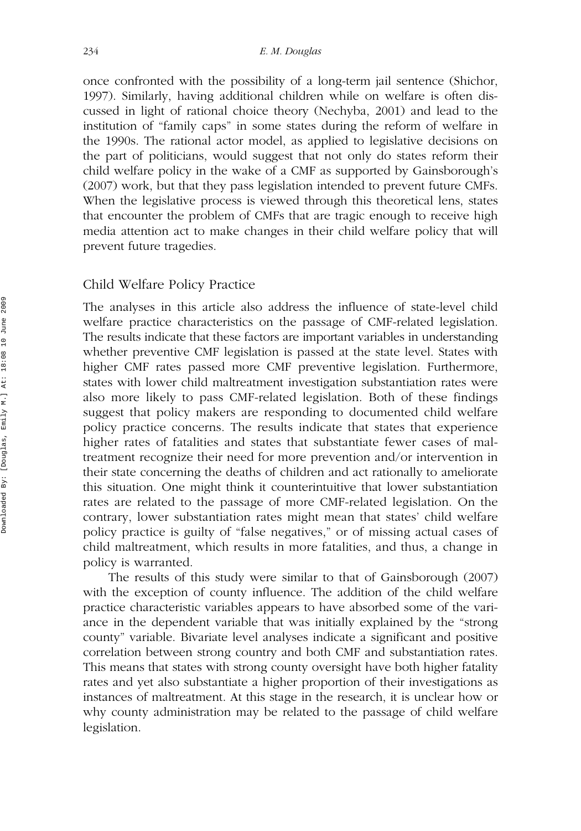once confronted with the possibility of a long-term jail sentence (Shichor, 1997). Similarly, having additional children while on welfare is often discussed in light of rational choice theory (Nechyba, 2001) and lead to the institution of "family caps" in some states during the reform of welfare in the 1990s. The rational actor model, as applied to legislative decisions on the part of politicians, would suggest that not only do states reform their child welfare policy in the wake of a CMF as supported by Gainsborough's (2007) work, but that they pass legislation intended to prevent future CMFs. When the legislative process is viewed through this theoretical lens, states that encounter the problem of CMFs that are tragic enough to receive high media attention act to make changes in their child welfare policy that will prevent future tragedies.

#### Child Welfare Policy Practice

The analyses in this article also address the influence of state-level child welfare practice characteristics on the passage of CMF-related legislation. The results indicate that these factors are important variables in understanding whether preventive CMF legislation is passed at the state level. States with higher CMF rates passed more CMF preventive legislation. Furthermore, states with lower child maltreatment investigation substantiation rates were also more likely to pass CMF-related legislation. Both of these findings suggest that policy makers are responding to documented child welfare policy practice concerns. The results indicate that states that experience higher rates of fatalities and states that substantiate fewer cases of maltreatment recognize their need for more prevention and/or intervention in their state concerning the deaths of children and act rationally to ameliorate this situation. One might think it counterintuitive that lower substantiation rates are related to the passage of more CMF-related legislation. On the contrary, lower substantiation rates might mean that states' child welfare policy practice is guilty of "false negatives," or of missing actual cases of child maltreatment, which results in more fatalities, and thus, a change in policy is warranted.

The results of this study were similar to that of Gainsborough (2007) with the exception of county influence. The addition of the child welfare practice characteristic variables appears to have absorbed some of the variance in the dependent variable that was initially explained by the "strong county" variable. Bivariate level analyses indicate a significant and positive correlation between strong country and both CMF and substantiation rates. This means that states with strong county oversight have both higher fatality rates and yet also substantiate a higher proportion of their investigations as instances of maltreatment. At this stage in the research, it is unclear how or why county administration may be related to the passage of child welfare legislation.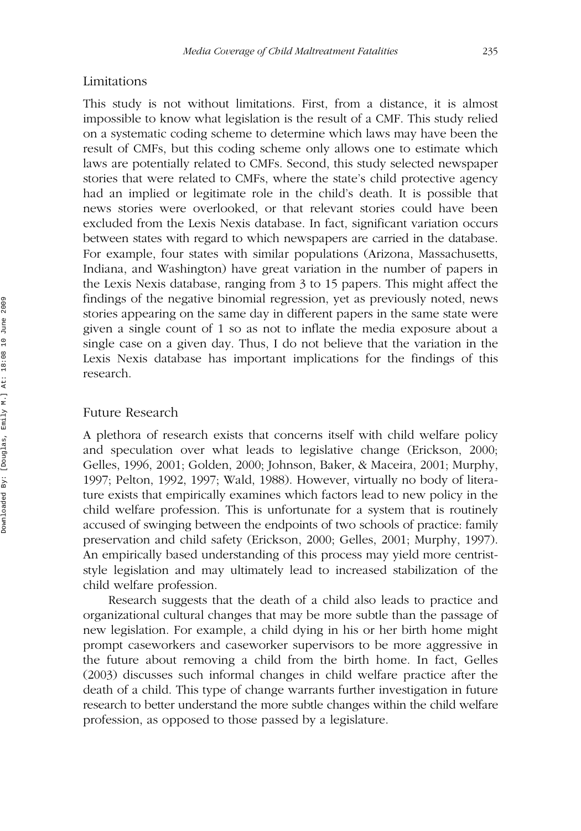## Limitations

This study is not without limitations. First, from a distance, it is almost impossible to know what legislation is the result of a CMF. This study relied on a systematic coding scheme to determine which laws may have been the result of CMFs, but this coding scheme only allows one to estimate which laws are potentially related to CMFs. Second, this study selected newspaper stories that were related to CMFs, where the state's child protective agency had an implied or legitimate role in the child's death. It is possible that news stories were overlooked, or that relevant stories could have been excluded from the Lexis Nexis database. In fact, significant variation occurs between states with regard to which newspapers are carried in the database. For example, four states with similar populations (Arizona, Massachusetts, Indiana, and Washington) have great variation in the number of papers in the Lexis Nexis database, ranging from 3 to 15 papers. This might affect the findings of the negative binomial regression, yet as previously noted, news stories appearing on the same day in different papers in the same state were given a single count of 1 so as not to inflate the media exposure about a single case on a given day. Thus, I do not believe that the variation in the Lexis Nexis database has important implications for the findings of this research.

#### Future Research

A plethora of research exists that concerns itself with child welfare policy and speculation over what leads to legislative change (Erickson, 2000; Gelles, 1996, 2001; Golden, 2000; Johnson, Baker, & Maceira, 2001; Murphy, 1997; Pelton, 1992, 1997; Wald, 1988). However, virtually no body of literature exists that empirically examines which factors lead to new policy in the child welfare profession. This is unfortunate for a system that is routinely accused of swinging between the endpoints of two schools of practice: family preservation and child safety (Erickson, 2000; Gelles, 2001; Murphy, 1997). An empirically based understanding of this process may yield more centriststyle legislation and may ultimately lead to increased stabilization of the child welfare profession.

Research suggests that the death of a child also leads to practice and organizational cultural changes that may be more subtle than the passage of new legislation. For example, a child dying in his or her birth home might prompt caseworkers and caseworker supervisors to be more aggressive in the future about removing a child from the birth home. In fact, Gelles (2003) discusses such informal changes in child welfare practice after the death of a child. This type of change warrants further investigation in future research to better understand the more subtle changes within the child welfare profession, as opposed to those passed by a legislature.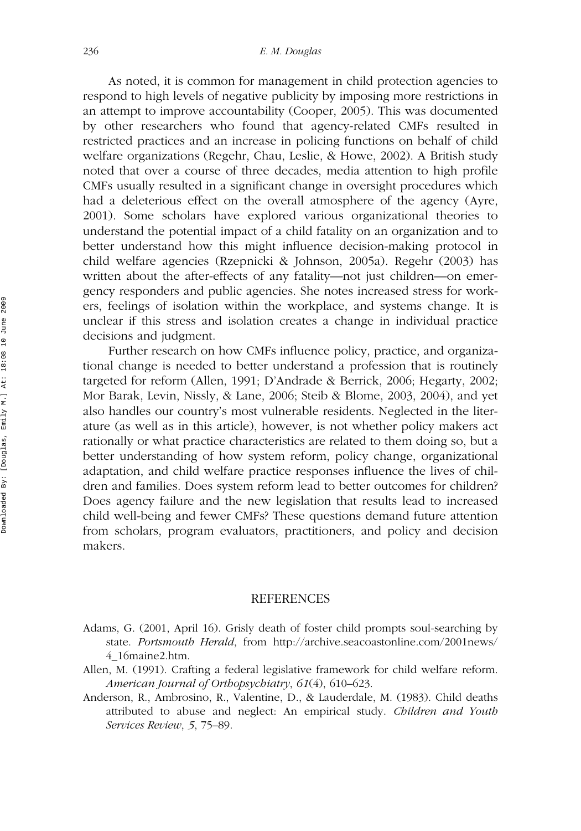As noted, it is common for management in child protection agencies to respond to high levels of negative publicity by imposing more restrictions in an attempt to improve accountability (Cooper, 2005). This was documented by other researchers who found that agency-related CMFs resulted in restricted practices and an increase in policing functions on behalf of child welfare organizations (Regehr, Chau, Leslie, & Howe, 2002). A British study noted that over a course of three decades, media attention to high profile CMFs usually resulted in a significant change in oversight procedures which had a deleterious effect on the overall atmosphere of the agency (Ayre, 2001). Some scholars have explored various organizational theories to understand the potential impact of a child fatality on an organization and to better understand how this might influence decision-making protocol in child welfare agencies (Rzepnicki & Johnson, 2005a). Regehr (2003) has written about the after-effects of any fatality—not just children—on emergency responders and public agencies. She notes increased stress for workers, feelings of isolation within the workplace, and systems change. It is unclear if this stress and isolation creates a change in individual practice decisions and judgment.

Further research on how CMFs influence policy, practice, and organizational change is needed to better understand a profession that is routinely targeted for reform (Allen, 1991; D'Andrade & Berrick, 2006; Hegarty, 2002; Mor Barak, Levin, Nissly, & Lane, 2006; Steib & Blome, 2003, 2004), and yet also handles our country's most vulnerable residents. Neglected in the literature (as well as in this article), however, is not whether policy makers act rationally or what practice characteristics are related to them doing so, but a better understanding of how system reform, policy change, organizational adaptation, and child welfare practice responses influence the lives of children and families. Does system reform lead to better outcomes for children? Does agency failure and the new legislation that results lead to increased child well-being and fewer CMFs? These questions demand future attention from scholars, program evaluators, practitioners, and policy and decision makers.

#### REFERENCES

- Adams, G. (2001, April 16). Grisly death of foster child prompts soul-searching by state. *Portsmouth Herald*, from http://archive.seacoastonline.com/2001news/ 4\_16maine2.htm.
- Allen, M. (1991). Crafting a federal legislative framework for child welfare reform. *American Journal of Orthopsychiatry*, *61*(4), 610–623.
- Anderson, R., Ambrosino, R., Valentine, D., & Lauderdale, M. (1983). Child deaths attributed to abuse and neglect: An empirical study. *Children and Youth Services Review*, *5*, 75–89.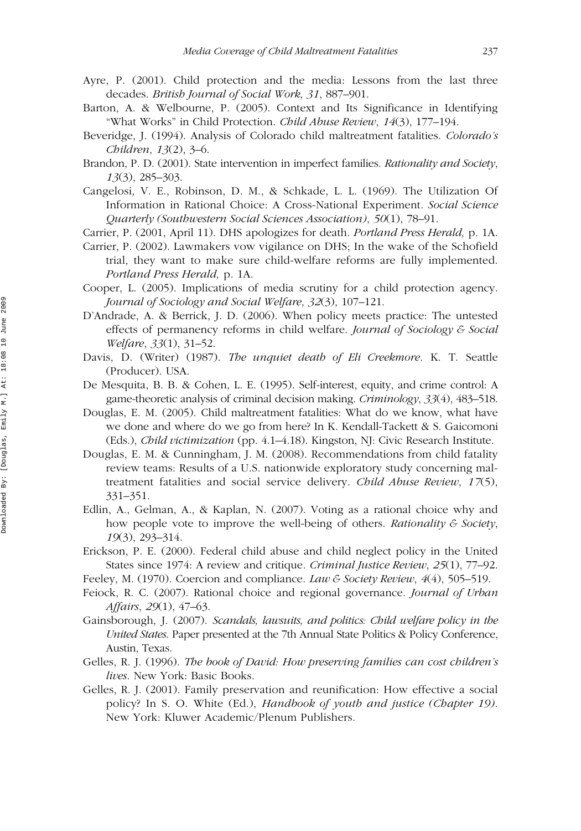- Ayre, P. (2001). Child protection and the media: Lessons from the last three decades. *British Journal of Social Work*, *31*, 887–901.
- Barton, A. & Welbourne, P. (2005). Context and Its Significance in Identifying "What Works" in Child Protection. *Child Abuse Review*, *14*(3), 177–194.
- Beveridge, J. (1994). Analysis of Colorado child maltreatment fatalities. *Colorado's Children*, *13*(2), 3–6.
- Brandon, P. D. (2001). State intervention in imperfect families. *Rationality and Society*, *13*(3), 285–303.
- Cangelosi, V. E., Robinson, D. M., & Schkade, L. L. (1969). The Utilization Of Information in Rational Choice: A Cross-National Experiment. *Social Science Quarterly (Southwestern Social Sciences Association)*, *50*(1), 78–91.
- Carrier, P. (2001, April 11). DHS apologizes for death. *Portland Press Herald,* p. 1A.
- Carrier, P. (2002). Lawmakers vow vigilance on DHS; In the wake of the Schofield trial, they want to make sure child-welfare reforms are fully implemented. *Portland Press Herald,* p. 1A.
- Cooper, L. (2005). Implications of media scrutiny for a child protection agency. *Journal of Sociology and Social Welfare*, *32*(3), 107–121.
- D'Andrade, A. & Berrick, J. D. (2006). When policy meets practice: The untested effects of permanency reforms in child welfare. *Journal of Sociology & Social Welfare*, *33*(1), 31–52.
- Davis, D. (Writer) (1987). *The unquiet death of Eli Creekmore*. K. T. Seattle (Producer). USA.
- De Mesquita, B. B. & Cohen, L. E. (1995). Self-interest, equity, and crime control: A game-theoretic analysis of criminal decision making. *Criminology*, *33*(4), 483–518.
- Douglas, E. M. (2005). Child maltreatment fatalities: What do we know, what have we done and where do we go from here? In K. Kendall-Tackett & S. Gaicomoni (Eds.), *Child victimization* (pp. 4.1–4.18). Kingston, NJ: Civic Research Institute.
- Douglas, E. M. & Cunningham, J. M. (2008). Recommendations from child fatality review teams: Results of a U.S. nationwide exploratory study concerning maltreatment fatalities and social service delivery. *Child Abuse Review*, *17*(5), 331–351.
- Edlin, A., Gelman, A., & Kaplan, N. (2007). Voting as a rational choice why and how people vote to improve the well-being of others. *Rationality & Society*, *19*(3), 293–314.
- Erickson, P. E. (2000). Federal child abuse and child neglect policy in the United States since 1974: A review and critique. *Criminal Justice Review*, *25*(1), 77–92.
- Feeley, M. (1970). Coercion and compliance. *Law & Society Review*, *4*(4), 505–519.
- Feiock, R. C. (2007). Rational choice and regional governance. *Journal of Urban Affairs*, *29*(1), 47–63.
- Gainsborough, J. (2007). *Scandals, lawsuits, and politics: Child welfare policy in the United States*. Paper presented at the 7th Annual State Politics & Policy Conference, Austin, Texas.
- Gelles, R. J. (1996). *The book of David: How preserving families can cost children's lives*. New York: Basic Books.
- Gelles, R. J. (2001). Family preservation and reunification: How effective a social policy? In S. O. White (Ed.), *Handbook of youth and justice (Chapter 19)*. New York: Kluwer Academic/Plenum Publishers.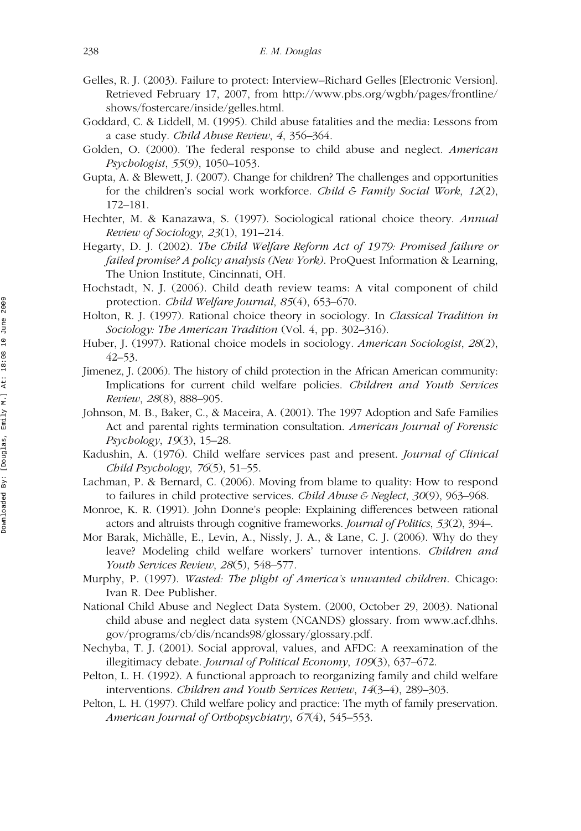- Gelles, R. J. (2003). Failure to protect: Interview–Richard Gelles [Electronic Version]. Retrieved February 17, 2007, from http://www.pbs.org/wgbh/pages/frontline/ shows/fostercare/inside/gelles.html.
- Goddard, C. & Liddell, M. (1995). Child abuse fatalities and the media: Lessons from a case study. *Child Abuse Review*, *4*, 356–364.
- Golden, O. (2000). The federal response to child abuse and neglect. *American Psychologist*, *55*(9), 1050–1053.
- Gupta, A. & Blewett, J. (2007). Change for children? The challenges and opportunities for the children's social work workforce. *Child & Family Social Work*, *12*(2), 172–181.
- Hechter, M. & Kanazawa, S. (1997). Sociological rational choice theory. *Annual Review of Sociology*, *23*(1), 191–214.
- Hegarty, D. J. (2002). *The Child Welfare Reform Act of 1979: Promised failure or failed promise? A policy analysis (New York)*. ProQuest Information & Learning, The Union Institute, Cincinnati, OH.
- Hochstadt, N. J. (2006). Child death review teams: A vital component of child protection. *Child Welfare Journal*, *85*(4), 653–670.
- Holton, R. J. (1997). Rational choice theory in sociology. In *Classical Tradition in Sociology: The American Tradition* (Vol. 4, pp. 302–316).
- Huber, J. (1997). Rational choice models in sociology. *American Sociologist*, *28*(2), 42–53.
- Jimenez, J. (2006). The history of child protection in the African American community: Implications for current child welfare policies. *Children and Youth Services Review*, *28*(8), 888–905.
- Johnson, M. B., Baker, C., & Maceira, A. (2001). The 1997 Adoption and Safe Families Act and parental rights termination consultation. *American Journal of Forensic Psychology*, *19*(3), 15–28.
- Kadushin, A. (1976). Child welfare services past and present. *Journal of Clinical Child Psychology*, *76*(5), 51–55.
- Lachman, P. & Bernard, C. (2006). Moving from blame to quality: How to respond to failures in child protective services. *Child Abuse & Neglect*, *30*(9), 963–968.
- Monroe, K. R. (1991). John Donne's people: Explaining differences between rational actors and altruists through cognitive frameworks. *Journal of Politics*, *53*(2), 394–.
- Mor Barak, Michãlle, E., Levin, A., Nissly, J. A., & Lane, C. J. (2006). Why do they leave? Modeling child welfare workers' turnover intentions. *Children and Youth Services Review*, *28*(5), 548–577.
- Murphy, P. (1997). *Wasted: The plight of America's unwanted children*. Chicago: Ivan R. Dee Publisher.
- National Child Abuse and Neglect Data System. (2000, October 29, 2003). National child abuse and neglect data system (NCANDS) glossary. from www.acf.dhhs. gov/programs/cb/dis/ncands98/glossary/glossary.pdf.
- Nechyba, T. J. (2001). Social approval, values, and AFDC: A reexamination of the illegitimacy debate. *Journal of Political Economy*, *109*(3), 637–672.
- Pelton, L. H. (1992). A functional approach to reorganizing family and child welfare interventions. *Children and Youth Services Review*, *14*(3–4), 289–303.
- Pelton, L. H. (1997). Child welfare policy and practice: The myth of family preservation. *American Journal of Orthopsychiatry*, *67*(4), 545–553.